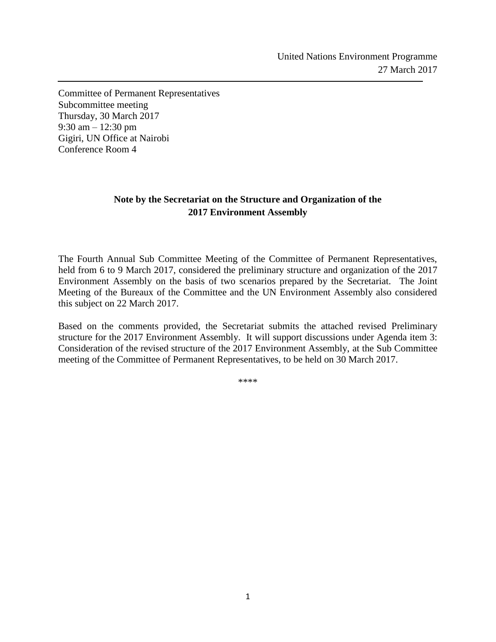Committee of Permanent Representatives Subcommittee meeting Thursday, 30 March 2017 9:30 am – 12:30 pm Gigiri, UN Office at Nairobi Conference Room 4

j

## **Note by the Secretariat on the Structure and Organization of the 2017 Environment Assembly**

The Fourth Annual Sub Committee Meeting of the Committee of Permanent Representatives, held from 6 to 9 March 2017, considered the preliminary structure and organization of the 2017 Environment Assembly on the basis of two scenarios prepared by the Secretariat. The Joint Meeting of the Bureaux of the Committee and the UN Environment Assembly also considered this subject on 22 March 2017.

Based on the comments provided, the Secretariat submits the attached revised Preliminary structure for the 2017 Environment Assembly. It will support discussions under Agenda item 3: Consideration of the revised structure of the 2017 Environment Assembly, at the Sub Committee meeting of the Committee of Permanent Representatives, to be held on 30 March 2017.

\*\*\*\*